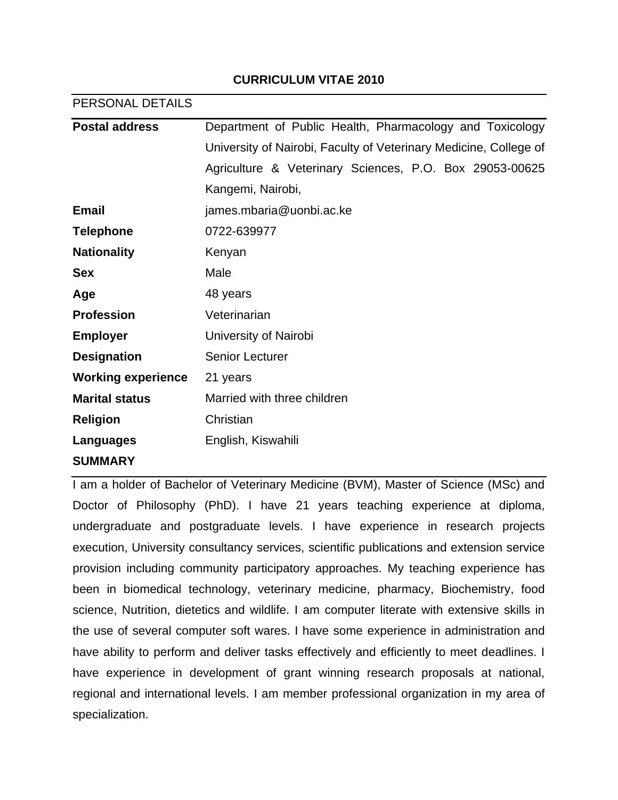# **CURRICULUM VITAE 2010**

#### PERSONAL DETAILS

| <b>Postal address</b>     | Department of Public Health, Pharmacology and Toxicology          |
|---------------------------|-------------------------------------------------------------------|
|                           | University of Nairobi, Faculty of Veterinary Medicine, College of |
|                           | Agriculture & Veterinary Sciences, P.O. Box 29053-00625           |
|                           | Kangemi, Nairobi,                                                 |
| <b>Email</b>              | james.mbaria@uonbi.ac.ke                                          |
| <b>Telephone</b>          | 0722-639977                                                       |
| <b>Nationality</b>        | Kenyan                                                            |
| <b>Sex</b>                | Male                                                              |
| Age                       | 48 years                                                          |
| <b>Profession</b>         | Veterinarian                                                      |
| <b>Employer</b>           | University of Nairobi                                             |
| <b>Designation</b>        | <b>Senior Lecturer</b>                                            |
| <b>Working experience</b> | 21 years                                                          |
| <b>Marital status</b>     | Married with three children                                       |
| <b>Religion</b>           | Christian                                                         |
| Languages                 | English, Kiswahili                                                |
| <b>SUMMARY</b>            |                                                                   |

I am a holder of Bachelor of Veterinary Medicine (BVM), Master of Science (MSc) and Doctor of Philosophy (PhD). I have 21 years teaching experience at diploma, undergraduate and postgraduate levels. I have experience in research projects execution, University consultancy services, scientific publications and extension service provision including community participatory approaches. My teaching experience has been in biomedical technology, veterinary medicine, pharmacy, Biochemistry, food science, Nutrition, dietetics and wildlife. I am computer literate with extensive skills in the use of several computer soft wares. I have some experience in administration and have ability to perform and deliver tasks effectively and efficiently to meet deadlines. I have experience in development of grant winning research proposals at national, regional and international levels. I am member professional organization in my area of specialization.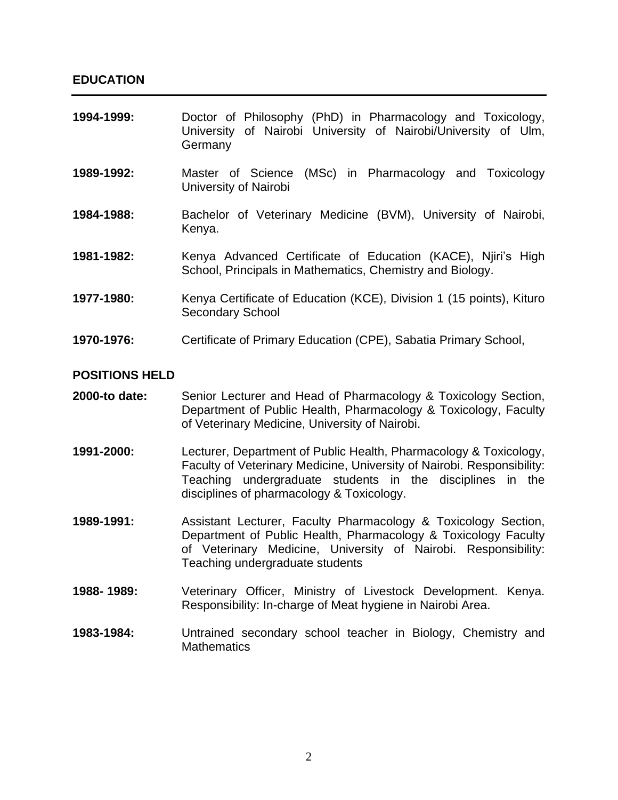| 1994-1999:            | Doctor of Philosophy (PhD) in Pharmacology and Toxicology,<br>University of Nairobi University of Nairobi/University of Ulm,<br>Germany |
|-----------------------|-----------------------------------------------------------------------------------------------------------------------------------------|
| 1989-1992:            | Master of Science (MSc) in Pharmacology and Toxicology<br>University of Nairobi                                                         |
| 1984-1988:            | Bachelor of Veterinary Medicine (BVM), University of Nairobi,<br>Kenya.                                                                 |
| 1981-1982:            | Kenya Advanced Certificate of Education (KACE), Nijri's High<br>School, Principals in Mathematics, Chemistry and Biology.               |
| 1977-1980:            | Kenya Certificate of Education (KCE), Division 1 (15 points), Kituro<br><b>Secondary School</b>                                         |
| 1970-1976:            | Certificate of Primary Education (CPE), Sabatia Primary School,                                                                         |
| <b>POSITIONS HELD</b> |                                                                                                                                         |

# **2000-to date:** Senior Lecturer and Head of Pharmacology & Toxicology Section, Department of Public Health, Pharmacology & Toxicology, Faculty of Veterinary Medicine, University of Nairobi.

- **1991-2000:** Lecturer, Department of Public Health, Pharmacology & Toxicology, Faculty of Veterinary Medicine, University of Nairobi. Responsibility: Teaching undergraduate students in the disciplines in the disciplines of pharmacology & Toxicology.
- **1989-1991:** Assistant Lecturer, Faculty Pharmacology & Toxicology Section, Department of Public Health, Pharmacology & Toxicology Faculty of Veterinary Medicine, University of Nairobi. Responsibility: Teaching undergraduate students
- **1988- 1989:** Veterinary Officer, Ministry of Livestock Development. Kenya. Responsibility: In-charge of Meat hygiene in Nairobi Area.
- **1983-1984:** Untrained secondary school teacher in Biology, Chemistry and **Mathematics**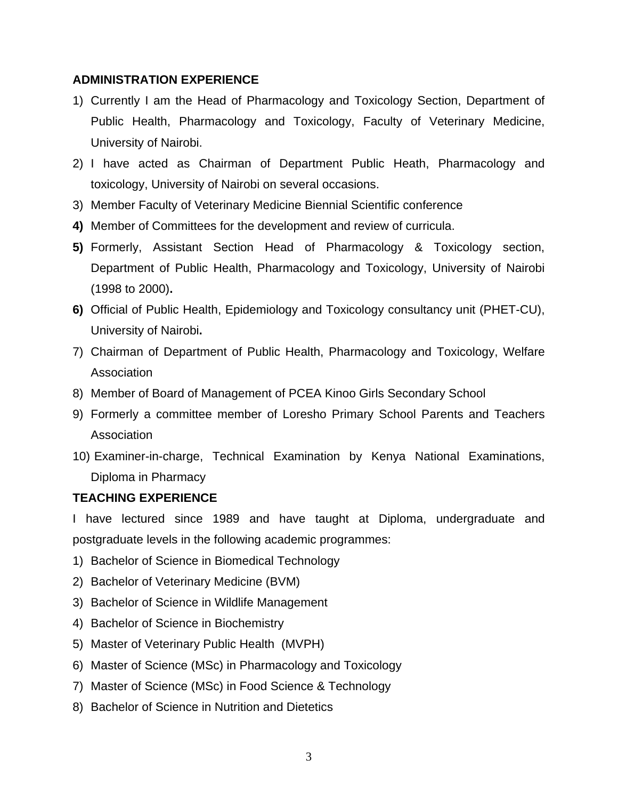# **ADMINISTRATION EXPERIENCE**

- 1) Currently I am the Head of Pharmacology and Toxicology Section, Department of Public Health, Pharmacology and Toxicology, Faculty of Veterinary Medicine, University of Nairobi.
- 2) I have acted as Chairman of Department Public Heath, Pharmacology and toxicology, University of Nairobi on several occasions.
- 3) Member Faculty of Veterinary Medicine Biennial Scientific conference
- **4)** Member of Committees for the development and review of curricula.
- **5)** Formerly, Assistant Section Head of Pharmacology & Toxicology section, Department of Public Health, Pharmacology and Toxicology, University of Nairobi (1998 to 2000)**.**
- **6)** Official of Public Health, Epidemiology and Toxicology consultancy unit (PHET-CU), University of Nairobi**.**
- 7) Chairman of Department of Public Health, Pharmacology and Toxicology, Welfare Association
- 8) Member of Board of Management of PCEA Kinoo Girls Secondary School
- 9) Formerly a committee member of Loresho Primary School Parents and Teachers **Association**
- 10) Examiner-in-charge, Technical Examination by Kenya National Examinations, Diploma in Pharmacy

# **TEACHING EXPERIENCE**

I have lectured since 1989 and have taught at Diploma, undergraduate and postgraduate levels in the following academic programmes:

- 1) Bachelor of Science in Biomedical Technology
- 2) Bachelor of Veterinary Medicine (BVM)
- 3) Bachelor of Science in Wildlife Management
- 4) Bachelor of Science in Biochemistry
- 5) Master of Veterinary Public Health (MVPH)
- 6) Master of Science (MSc) in Pharmacology and Toxicology
- 7) Master of Science (MSc) in Food Science & Technology
- 8) Bachelor of Science in Nutrition and Dietetics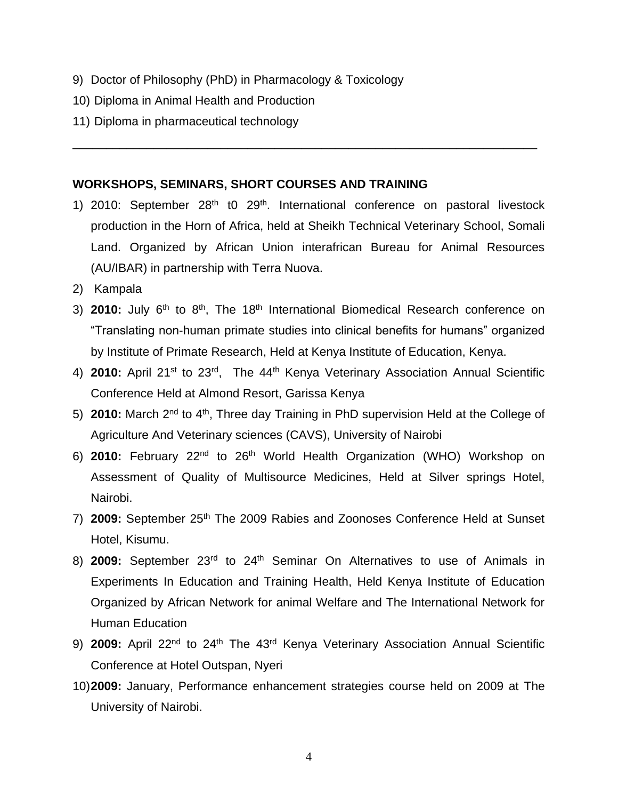- 9) Doctor of Philosophy (PhD) in Pharmacology & Toxicology
- 10) Diploma in Animal Health and Production
- 11) Diploma in pharmaceutical technology

# **WORKSHOPS, SEMINARS, SHORT COURSES AND TRAINING**

1) 2010: September  $28<sup>th</sup>$  t0  $29<sup>th</sup>$ . International conference on pastoral livestock production in the Horn of Africa, held at Sheikh Technical Veterinary School, Somali Land. Organized by African Union interafrican Bureau for Animal Resources (AU/IBAR) in partnership with Terra Nuova.

\_\_\_\_\_\_\_\_\_\_\_\_\_\_\_\_\_\_\_\_\_\_\_\_\_\_\_\_\_\_\_\_\_\_\_\_\_\_\_\_\_\_\_\_\_\_\_\_\_\_\_\_\_\_\_\_\_\_\_\_\_\_\_\_\_\_\_\_\_

- 2) Kampala
- 3) **2010:** July 6<sup>th</sup> to 8<sup>th</sup>, The 18<sup>th</sup> International Biomedical Research conference on "Translating non-human primate studies into clinical benefits for humans" organized by Institute of Primate Research, Held at Kenya Institute of Education, Kenya.
- 4) **2010:** April 21st to 23rd, The 44th Kenya Veterinary Association Annual Scientific Conference Held at Almond Resort, Garissa Kenya
- 5) **2010:** March 2nd to 4th, Three day Training in PhD supervision Held at the College of Agriculture And Veterinary sciences (CAVS), University of Nairobi
- 6) **2010:** February 22nd to 26th World Health Organization (WHO) Workshop on Assessment of Quality of Multisource Medicines, Held at Silver springs Hotel, Nairobi.
- 7) **2009:** September 25th The 2009 Rabies and Zoonoses Conference Held at Sunset Hotel, Kisumu.
- 8) **2009:** September 23rd to 24th Seminar On Alternatives to use of Animals in Experiments In Education and Training Health, Held Kenya Institute of Education Organized by African Network for animal Welfare and The International Network for Human Education
- 9) **2009:** April 22<sup>nd</sup> to 24<sup>th</sup> The 43<sup>rd</sup> Kenya Veterinary Association Annual Scientific Conference at Hotel Outspan, Nyeri
- 10)**2009:** January, Performance enhancement strategies course held on 2009 at The University of Nairobi.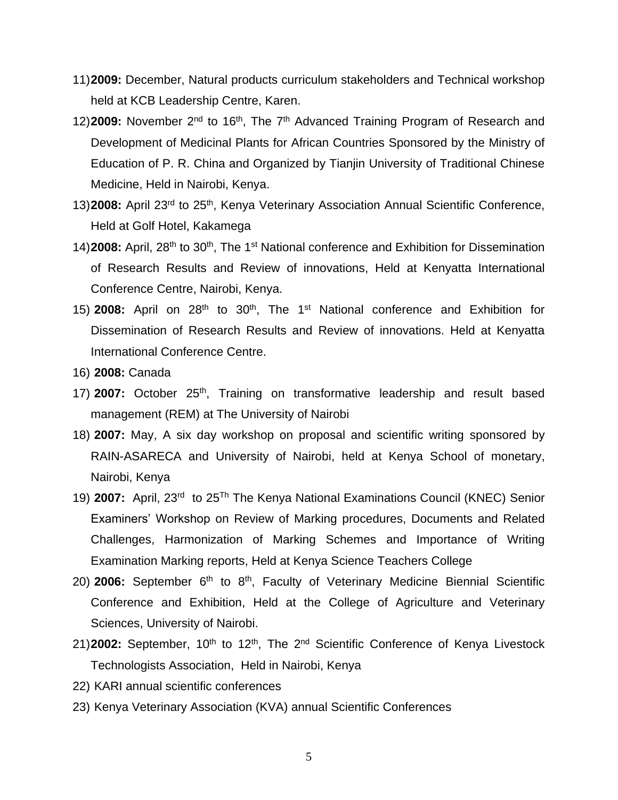- 11)**2009:** December, Natural products curriculum stakeholders and Technical workshop held at KCB Leadership Centre, Karen.
- 12)**2009:** November 2nd to 16th, The 7th Advanced Training Program of Research and Development of Medicinal Plants for African Countries Sponsored by the Ministry of Education of P. R. China and Organized by Tianjin University of Traditional Chinese Medicine, Held in Nairobi, Kenya.
- 13) 2008: April 23<sup>rd</sup> to 25<sup>th</sup>, Kenya Veterinary Association Annual Scientific Conference, Held at Golf Hotel, Kakamega
- 14) **2008:** April, 28<sup>th</sup> to 30<sup>th</sup>, The 1<sup>st</sup> National conference and Exhibition for Dissemination of Research Results and Review of innovations, Held at Kenyatta International Conference Centre, Nairobi, Kenya.
- 15) **2008:** April on 28<sup>th</sup> to 30<sup>th</sup>, The 1<sup>st</sup> National conference and Exhibition for Dissemination of Research Results and Review of innovations. Held at Kenyatta International Conference Centre.
- 16) **2008:** Canada
- 17) **2007:** October 25<sup>th</sup>, Training on transformative leadership and result based management (REM) at The University of Nairobi
- 18) **2007:** May, A six day workshop on proposal and scientific writing sponsored by RAIN-ASARECA and University of Nairobi, held at Kenya School of monetary, Nairobi, Kenya
- 19) **2007:** April, 23<sup>rd</sup> to 25<sup>Th</sup> The Kenya National Examinations Council (KNEC) Senior Examiners' Workshop on Review of Marking procedures, Documents and Related Challenges, Harmonization of Marking Schemes and Importance of Writing Examination Marking reports, Held at Kenya Science Teachers College
- 20) **2006:** September 6<sup>th</sup> to 8<sup>th</sup>, Faculty of Veterinary Medicine Biennial Scientific Conference and Exhibition, Held at the College of Agriculture and Veterinary Sciences, University of Nairobi.
- 21)**2002:** September, 10<sup>th</sup> to 12<sup>th</sup>, The 2<sup>nd</sup> Scientific Conference of Kenya Livestock Technologists Association, Held in Nairobi, Kenya
- 22) KARI annual scientific conferences
- 23) Kenya Veterinary Association (KVA) annual Scientific Conferences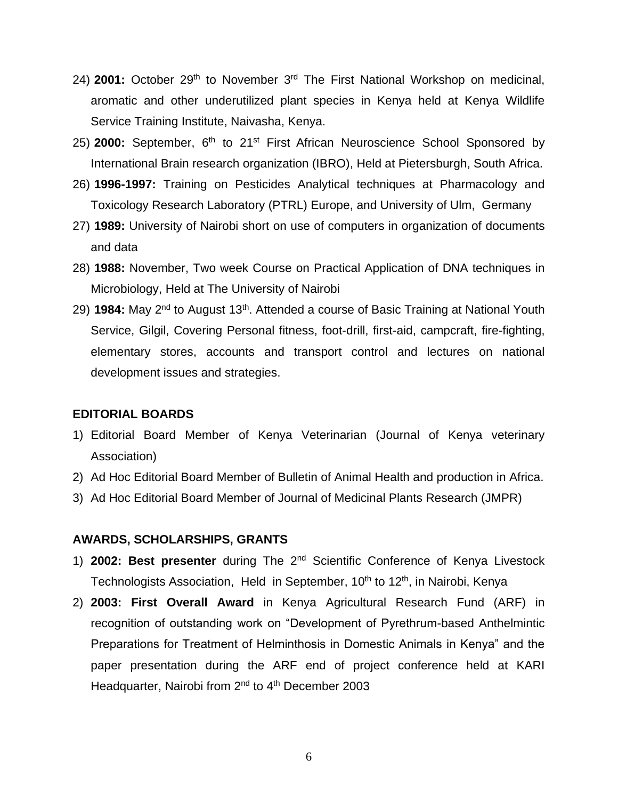- 24) **2001:** October 29<sup>th</sup> to November 3<sup>rd</sup> The First National Workshop on medicinal, aromatic and other underutilized plant species in Kenya held at Kenya Wildlife Service Training Institute, Naivasha, Kenya.
- 25) **2000:** September, 6th to 21st First African Neuroscience School Sponsored by International Brain research organization (IBRO), Held at Pietersburgh, South Africa.
- 26) **1996-1997:** Training on Pesticides Analytical techniques at Pharmacology and Toxicology Research Laboratory (PTRL) Europe, and University of Ulm, Germany
- 27) **1989:** University of Nairobi short on use of computers in organization of documents and data
- 28) **1988:** November, Two week Course on Practical Application of DNA techniques in Microbiology, Held at The University of Nairobi
- 29) **1984:** May 2nd to August 13th. Attended a course of Basic Training at National Youth Service, Gilgil, Covering Personal fitness, foot-drill, first-aid, campcraft, fire-fighting, elementary stores, accounts and transport control and lectures on national development issues and strategies.

#### **EDITORIAL BOARDS**

- 1) Editorial Board Member of Kenya Veterinarian (Journal of Kenya veterinary Association)
- 2) Ad Hoc Editorial Board Member of Bulletin of Animal Health and production in Africa.
- 3) Ad Hoc Editorial Board Member of Journal of Medicinal Plants Research (JMPR)

### **AWARDS, SCHOLARSHIPS, GRANTS**

- 1) **2002: Best presenter** during The 2nd Scientific Conference of Kenya Livestock Technologists Association, Held in September, 10<sup>th</sup> to 12<sup>th</sup>, in Nairobi, Kenya
- 2) **2003: First Overall Award** in Kenya Agricultural Research Fund (ARF) in recognition of outstanding work on "Development of Pyrethrum-based Anthelmintic Preparations for Treatment of Helminthosis in Domestic Animals in Kenya" and the paper presentation during the ARF end of project conference held at KARI Headquarter, Nairobi from 2<sup>nd</sup> to 4<sup>th</sup> December 2003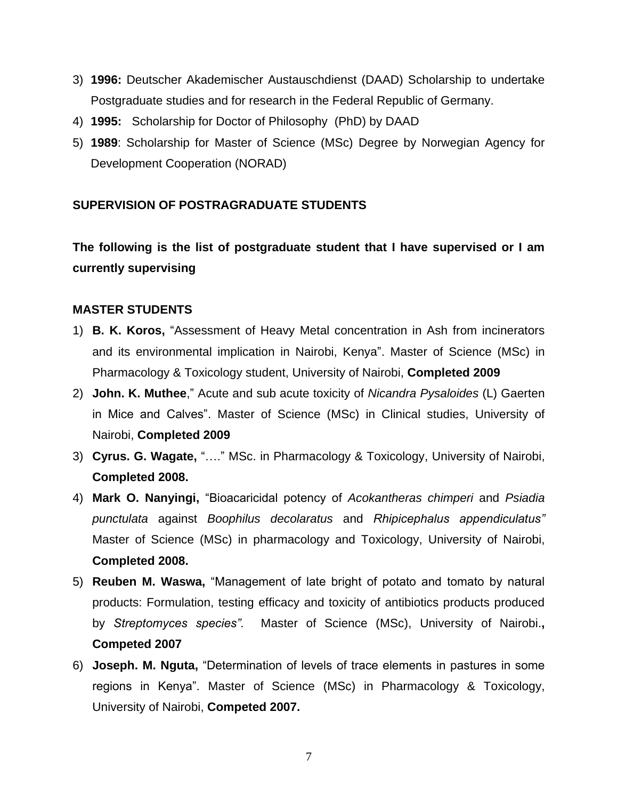- 3) **1996:** Deutscher Akademischer Austauschdienst (DAAD) Scholarship to undertake Postgraduate studies and for research in the Federal Republic of Germany.
- 4) **1995:** Scholarship for Doctor of Philosophy (PhD) by DAAD
- 5) **1989**: Scholarship for Master of Science (MSc) Degree by Norwegian Agency for Development Cooperation (NORAD)

# **SUPERVISION OF POSTRAGRADUATE STUDENTS**

**The following is the list of postgraduate student that I have supervised or I am currently supervising**

# **MASTER STUDENTS**

- 1) **B. K. Koros,** "Assessment of Heavy Metal concentration in Ash from incinerators and its environmental implication in Nairobi, Kenya". Master of Science (MSc) in Pharmacology & Toxicology student, University of Nairobi, **Completed 2009**
- 2) **John. K. Muthee**," Acute and sub acute toxicity of *Nicandra Pysaloides* (L) Gaerten in Mice and Calves". Master of Science (MSc) in Clinical studies, University of Nairobi, **Completed 2009**
- 3) **Cyrus. G. Wagate,** "…." MSc. in Pharmacology & Toxicology, University of Nairobi, **Completed 2008.**
- 4) **Mark O. Nanyingi,** "Bioacaricidal potency of *Acokantheras chimperi* and *Psiadia punctulata* against *Boophilus decolaratus* and *Rhipicephalus appendiculatus"* Master of Science (MSc) in pharmacology and Toxicology, University of Nairobi, **Completed 2008.**
- 5) **Reuben M. Waswa,** "Management of late bright of potato and tomato by natural products: Formulation, testing efficacy and toxicity of antibiotics products produced by *Streptomyces species".* Master of Science (MSc), University of Nairobi.**, Competed 2007**
- 6) **Joseph. M. Nguta,** "Determination of levels of trace elements in pastures in some regions in Kenya". Master of Science (MSc) in Pharmacology & Toxicology, University of Nairobi, **Competed 2007.**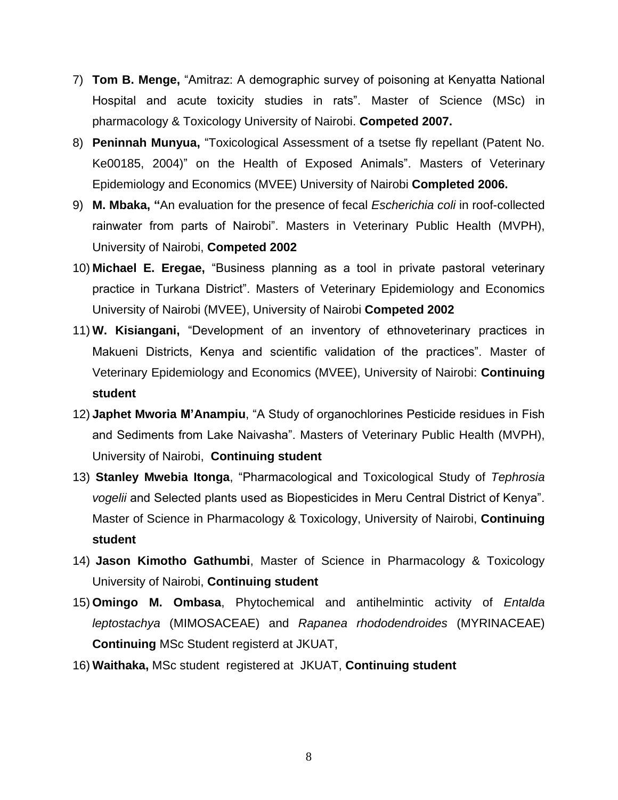- 7) **Tom B. Menge,** "Amitraz: A demographic survey of poisoning at Kenyatta National Hospital and acute toxicity studies in rats". Master of Science (MSc) in pharmacology & Toxicology University of Nairobi. **Competed 2007.**
- 8) **Peninnah Munyua,** "Toxicological Assessment of a tsetse fly repellant (Patent No. Ke00185, 2004)" on the Health of Exposed Animals". Masters of Veterinary Epidemiology and Economics (MVEE) University of Nairobi **Completed 2006.**
- 9) **M. Mbaka, "**An evaluation for the presence of fecal *Escherichia coli* in roof-collected rainwater from parts of Nairobi". Masters in Veterinary Public Health (MVPH), University of Nairobi, **Competed 2002**
- 10) **Michael E. Eregae,** "Business planning as a tool in private pastoral veterinary practice in Turkana District". Masters of Veterinary Epidemiology and Economics University of Nairobi (MVEE), University of Nairobi **Competed 2002**
- 11) **W. Kisiangani,** "Development of an inventory of ethnoveterinary practices in Makueni Districts, Kenya and scientific validation of the practices". Master of Veterinary Epidemiology and Economics (MVEE), University of Nairobi: **Continuing student**
- 12) **Japhet Mworia M'Anampiu**, "A Study of organochlorines Pesticide residues in Fish and Sediments from Lake Naivasha". Masters of Veterinary Public Health (MVPH), University of Nairobi, **Continuing student**
- 13) **Stanley Mwebia Itonga**, "Pharmacological and Toxicological Study of *Tephrosia vogelii* and Selected plants used as Biopesticides in Meru Central District of Kenya". Master of Science in Pharmacology & Toxicology, University of Nairobi, **Continuing student**
- 14) **Jason Kimotho Gathumbi**, Master of Science in Pharmacology & Toxicology University of Nairobi, **Continuing student**
- 15) **Omingo M. Ombasa**, Phytochemical and antihelmintic activity of *Entalda leptostachya* (MIMOSACEAE) and *Rapanea rhododendroides* (MYRINACEAE) **Continuing** MSc Student registerd at JKUAT,
- 16) **Waithaka,** MSc student registered at JKUAT, **Continuing student**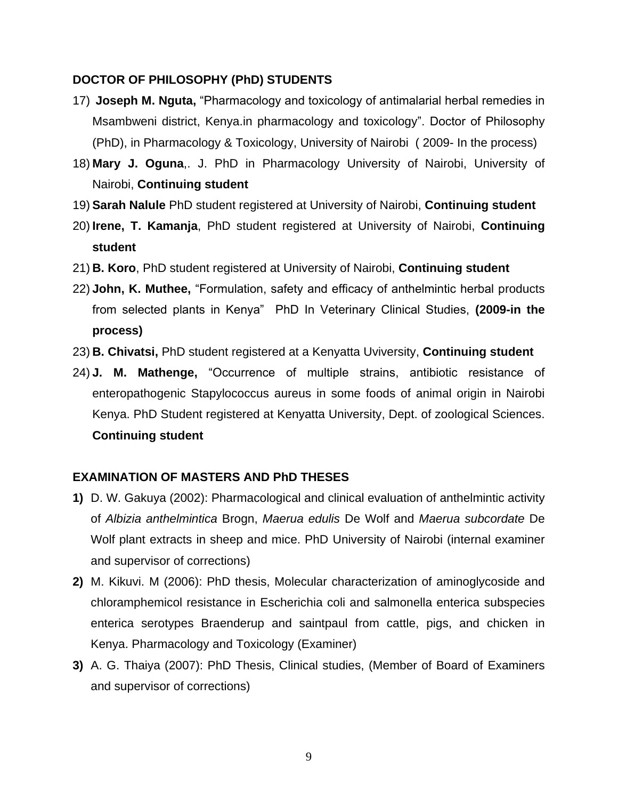### **DOCTOR OF PHILOSOPHY (PhD) STUDENTS**

- 17) **Joseph M. Nguta,** "Pharmacology and toxicology of antimalarial herbal remedies in Msambweni district, Kenya.in pharmacology and toxicology". Doctor of Philosophy (PhD), in Pharmacology & Toxicology, University of Nairobi ( 2009- In the process)
- 18) **Mary J. Oguna**,. J. PhD in Pharmacology University of Nairobi, University of Nairobi, **Continuing student**
- 19) **Sarah Nalule** PhD student registered at University of Nairobi, **Continuing student**
- 20) **Irene, T. Kamanja**, PhD student registered at University of Nairobi, **Continuing student**
- 21) **B. Koro**, PhD student registered at University of Nairobi, **Continuing student**
- 22) **John, K. Muthee,** "Formulation, safety and efficacy of anthelmintic herbal products from selected plants in Kenya" PhD In Veterinary Clinical Studies, **(2009-in the process)**
- 23) **B. Chivatsi,** PhD student registered at a Kenyatta Uviversity, **Continuing student**
- 24) **J. M. Mathenge,** "Occurrence of multiple strains, antibiotic resistance of enteropathogenic Stapylococcus aureus in some foods of animal origin in Nairobi Kenya. PhD Student registered at Kenyatta University, Dept. of zoological Sciences. **Continuing student**

# **EXAMINATION OF MASTERS AND PhD THESES**

- **1)** D. W. Gakuya (2002): Pharmacological and clinical evaluation of anthelmintic activity of *Albizia anthelmintica* Brogn, *Maerua edulis* De Wolf and *Maerua subcordate* De Wolf plant extracts in sheep and mice. PhD University of Nairobi (internal examiner and supervisor of corrections)
- **2)** M. Kikuvi. M (2006): PhD thesis, Molecular characterization of aminoglycoside and chloramphemicol resistance in Escherichia coli and salmonella enterica subspecies enterica serotypes Braenderup and saintpaul from cattle, pigs, and chicken in Kenya. Pharmacology and Toxicology (Examiner)
- **3)** A. G. Thaiya (2007): PhD Thesis, Clinical studies, (Member of Board of Examiners and supervisor of corrections)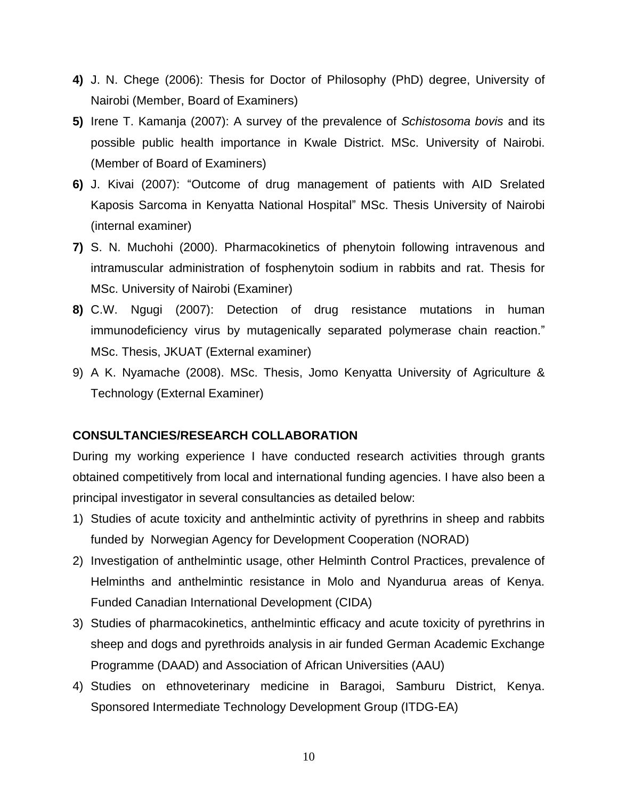- **4)** J. N. Chege (2006): Thesis for Doctor of Philosophy (PhD) degree, University of Nairobi (Member, Board of Examiners)
- **5)** Irene T. Kamanja (2007): A survey of the prevalence of *Schistosoma bovis* and its possible public health importance in Kwale District. MSc. University of Nairobi. (Member of Board of Examiners)
- **6)** J. Kivai (2007): "Outcome of drug management of patients with AID Srelated Kaposis Sarcoma in Kenyatta National Hospital" MSc. Thesis University of Nairobi (internal examiner)
- **7)** S. N. Muchohi (2000). Pharmacokinetics of phenytoin following intravenous and intramuscular administration of fosphenytoin sodium in rabbits and rat. Thesis for MSc. University of Nairobi (Examiner)
- **8)** C.W. Ngugi (2007): Detection of drug resistance mutations in human immunodeficiency virus by mutagenically separated polymerase chain reaction." MSc. Thesis, JKUAT (External examiner)
- 9) A K. Nyamache (2008). MSc. Thesis, Jomo Kenyatta University of Agriculture & Technology (External Examiner)

# **CONSULTANCIES/RESEARCH COLLABORATION**

During my working experience I have conducted research activities through grants obtained competitively from local and international funding agencies. I have also been a principal investigator in several consultancies as detailed below:

- 1) Studies of acute toxicity and anthelmintic activity of pyrethrins in sheep and rabbits funded by Norwegian Agency for Development Cooperation (NORAD)
- 2) Investigation of anthelmintic usage, other Helminth Control Practices, prevalence of Helminths and anthelmintic resistance in Molo and Nyandurua areas of Kenya. Funded Canadian International Development (CIDA)
- 3) Studies of pharmacokinetics, anthelmintic efficacy and acute toxicity of pyrethrins in sheep and dogs and pyrethroids analysis in air funded German Academic Exchange Programme (DAAD) and Association of African Universities (AAU)
- 4) Studies on ethnoveterinary medicine in Baragoi, Samburu District, Kenya. Sponsored Intermediate Technology Development Group (ITDG-EA)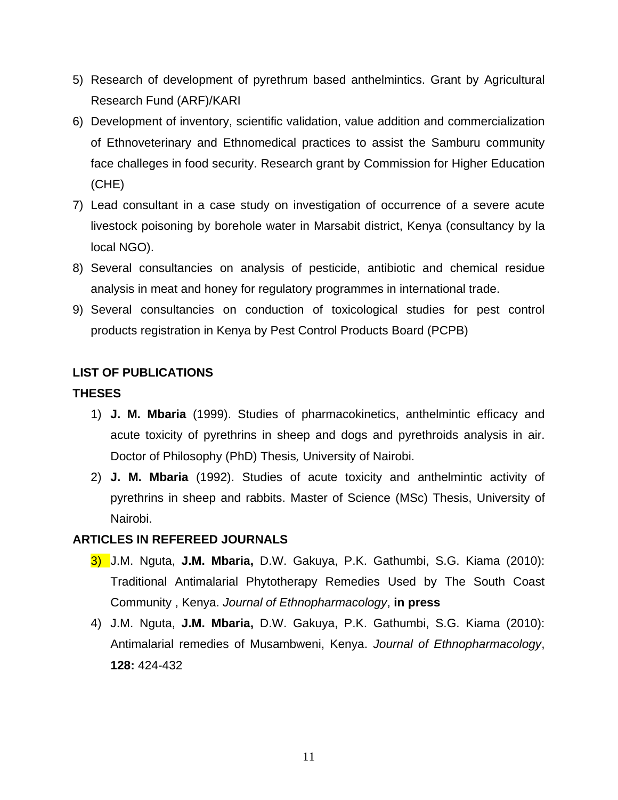- 5) Research of development of pyrethrum based anthelmintics. Grant by Agricultural Research Fund (ARF)/KARI
- 6) Development of inventory, scientific validation, value addition and commercialization of Ethnoveterinary and Ethnomedical practices to assist the Samburu community face challeges in food security. Research grant by Commission for Higher Education (CHE)
- 7) Lead consultant in a case study on investigation of occurrence of a severe acute livestock poisoning by borehole water in Marsabit district, Kenya (consultancy by la local NGO).
- 8) Several consultancies on analysis of pesticide, antibiotic and chemical residue analysis in meat and honey for regulatory programmes in international trade.
- 9) Several consultancies on conduction of toxicological studies for pest control products registration in Kenya by Pest Control Products Board (PCPB)

# **LIST OF PUBLICATIONS**

# **THESES**

- 1) **J. M. Mbaria** (1999). Studies of pharmacokinetics, anthelmintic efficacy and acute toxicity of pyrethrins in sheep and dogs and pyrethroids analysis in air. Doctor of Philosophy (PhD) Thesis*,* University of Nairobi.
- 2) **J. M. Mbaria** (1992). Studies of acute toxicity and anthelmintic activity of pyrethrins in sheep and rabbits. Master of Science (MSc) Thesis, University of Nairobi.

# **ARTICLES IN REFEREED JOURNALS**

- 3) J.M. Nguta, **J.M. Mbaria,** D.W. Gakuya, P.K. Gathumbi, S.G. Kiama (2010): Traditional Antimalarial Phytotherapy Remedies Used by The South Coast Community , Kenya. *Journal of Ethnopharmacology*, **in press**
- 4) J.M. Nguta, **J.M. Mbaria,** D.W. Gakuya, P.K. Gathumbi, S.G. Kiama (2010): Antimalarial remedies of Musambweni, Kenya. *Journal of Ethnopharmacology*, **128:** 424-432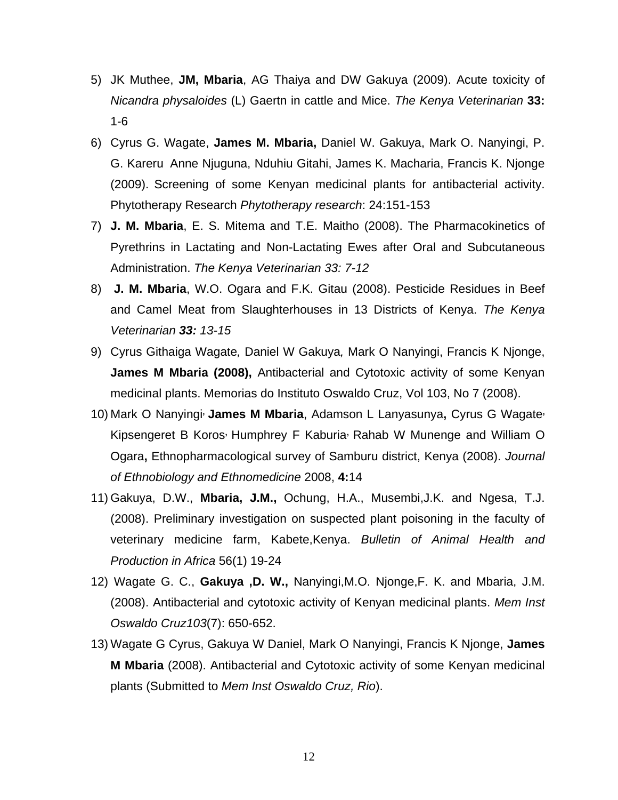- 5) JK Muthee, **JM, Mbaria**, AG Thaiya and DW Gakuya (2009). Acute toxicity of *Nicandra physaloides* (L) Gaertn in cattle and Mice. *The Kenya Veterinarian* **33:** 1-6
- 6) Cyrus G. Wagate, **James M. Mbaria,** Daniel W. Gakuya, Mark O. Nanyingi, P. G. Kareru Anne Njuguna, Nduhiu Gitahi, James K. Macharia, Francis K. Njonge (2009). Screening of some Kenyan medicinal plants for antibacterial activity. Phytotherapy Research *Phytotherapy research*: 24:151-153
- 7) **J. M. Mbaria**, E. S. Mitema and T.E. Maitho (2008). The Pharmacokinetics of Pyrethrins in Lactating and Non-Lactating Ewes after Oral and Subcutaneous Administration. *The Kenya Veterinarian 33: 7-12*
- 8) **J. M. Mbaria**, W.O. Ogara and F.K. Gitau (2008). Pesticide Residues in Beef and Camel Meat from Slaughterhouses in 13 Districts of Kenya. *The Kenya Veterinarian 33: 13-15*
- 9) Cyrus Githaiga Wagate*,* Daniel W Gakuya*,* Mark O Nanyingi, Francis K Njonge, **James M Mbaria (2008),** Antibacterial and Cytotoxic activity of some Kenyan medicinal plants. Memorias do Instituto Oswaldo Cruz, Vol 103, No 7 (2008).
- 10) Mark O Nanyingi**, James M Mbaria**, Adamson L Lanyasunya**,** Cyrus G Wagate**,**  Kipsengeret B Koros**,** Humphrey F Kaburia**,** Rahab W Munenge and William O Ogara**,** Ethnopharmacological survey of Samburu district, Kenya (2008). *Journal of Ethnobiology and Ethnomedicine* 2008, **4:**14
- 11) Gakuya, D.W., **Mbaria, J.M.,** Ochung, H.A., Musembi,J.K. and Ngesa, T.J. (2008). Preliminary investigation on suspected plant poisoning in the faculty of veterinary medicine farm, Kabete,Kenya. *Bulletin of Animal Health and Production in Africa* 56(1) 19-24
- 12) Wagate G. C., **Gakuya ,D. W.,** Nanyingi,M.O. Njonge,F. K. and Mbaria, J.M. (2008). Antibacterial and cytotoxic activity of Kenyan medicinal plants. *Mem Inst Oswaldo Cruz103*(7): 650-652.
- 13) Wagate G Cyrus, Gakuya W Daniel, Mark O Nanyingi, Francis K Njonge, **James M Mbaria** (2008). Antibacterial and Cytotoxic activity of some Kenyan medicinal plants (Submitted to *Mem Inst Oswaldo Cruz, Rio*).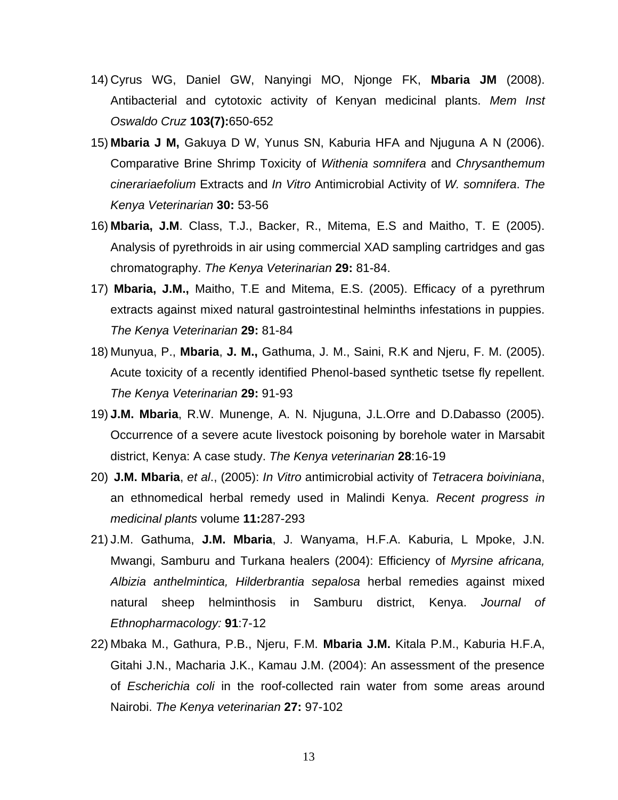- 14) [Cyrus WG, Daniel GW, Nanyingi MO, Njonge FK,](http://www.biowizard.com/pmabstract.php?pmid=19057813) **Mbaria JM** (2008). Antibacterial and cytotoxic activity of Kenyan medicinal plants. *Mem Inst Oswaldo Cruz* **103(7):**650-652
- 15) **Mbaria J M,** Gakuya D W, Yunus SN, Kaburia HFA and Njuguna A N (2006). Comparative Brine Shrimp Toxicity of *Withenia somnifera* and *Chrysanthemum cinerariaefolium* Extracts and *In Vitro* Antimicrobial Activity of *W. somnifera*. *The Kenya Veterinarian* **30:** 53-56
- 16) **Mbaria, J.M**. Class, T.J., Backer, R., Mitema, E.S and Maitho, T. E (2005). Analysis of pyrethroids in air using commercial XAD sampling cartridges and gas chromatography. *The Kenya Veterinarian* **29:** 81-84.
- 17) **Mbaria, J.M.,** Maitho, T.E and Mitema, E.S. (2005). Efficacy of a pyrethrum extracts against mixed natural gastrointestinal helminths infestations in puppies. *The Kenya Veterinarian* **29:** 81-84
- 18) Munyua, P., **Mbaria**, **J. M.,** Gathuma, J. M., Saini, R.K and Njeru, F. M. (2005). Acute toxicity of a recently identified Phenol-based synthetic tsetse fly repellent. *The Kenya Veterinarian* **29:** 91-93
- 19) **J.M. Mbaria**, R.W. Munenge, A. N. Njuguna, J.L.Orre and D.Dabasso (2005). Occurrence of a severe acute livestock poisoning by borehole water in Marsabit district, Kenya: A case study. *The Kenya veterinarian* **28**:16-19
- 20) **J.M. Mbaria**, *et al*., (2005): *In Vitro* antimicrobial activity of *Tetracera boiviniana*, an ethnomedical herbal remedy used in Malindi Kenya. *Recent progress in medicinal plants* volume **11:**287-293
- 21) J.M. Gathuma, **J.M. Mbaria**, J. Wanyama, H.F.A. Kaburia, L Mpoke, J.N. Mwangi, Samburu and Turkana healers (2004): Efficiency of *Myrsine africana, Albizia anthelmintica, Hilderbrantia sepalosa* herbal remedies against mixed natural sheep helminthosis in Samburu district, Kenya. *Journal of Ethnopharmacology:* **91**:7-12
- 22) Mbaka M., Gathura, P.B., Njeru, F.M. **Mbaria J.M.** Kitala P.M., Kaburia H.F.A, Gitahi J.N., Macharia J.K., Kamau J.M. (2004): An assessment of the presence of *Escherichia coli* in the roof-collected rain water from some areas around Nairobi. *The Kenya veterinarian* **27:** 97-102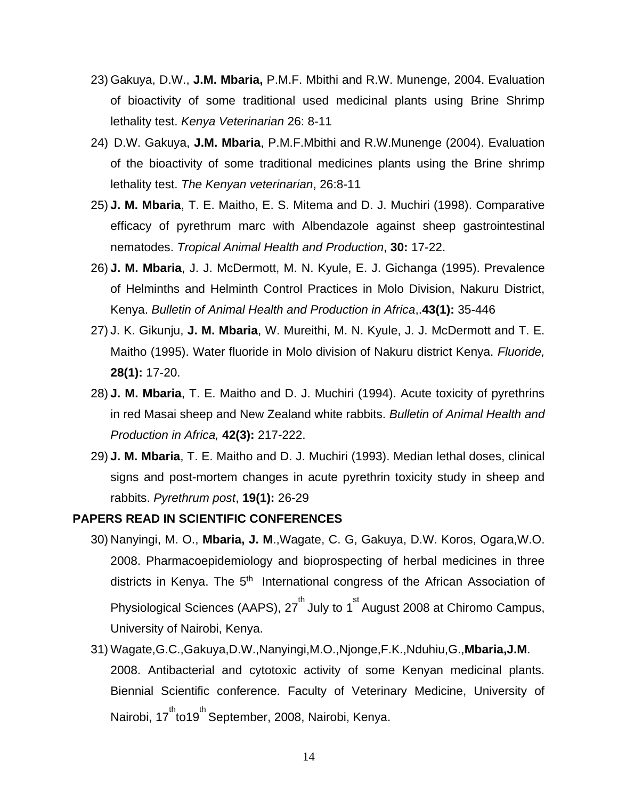- 23) Gakuya, D.W., **J.M. Mbaria,** P.M.F. Mbithi and R.W. Munenge, 2004. Evaluation of bioactivity of some traditional used medicinal plants using Brine Shrimp lethality test. *Kenya Veterinarian* 26: 8-11
- 24) D.W. Gakuya, **J.M. Mbaria**, P.M.F.Mbithi and R.W.Munenge (2004). Evaluation of the bioactivity of some traditional medicines plants using the Brine shrimp lethality test. *The Kenyan veterinarian*, 26:8-11
- 25) **J. M. Mbaria**, T. E. Maitho, E. S. Mitema and D. J. Muchiri (1998). Comparative efficacy of pyrethrum marc with Albendazole against sheep gastrointestinal nematodes. *Tropical Animal Health and Production*, **30:** 17-22.
- 26) **J. M. Mbaria**, J. J. McDermott, M. N. Kyule, E. J. Gichanga (1995). Prevalence of Helminths and Helminth Control Practices in Molo Division, Nakuru District, Kenya. *Bulletin of Animal Health and Production in Africa*,.**43(1):** 35-446
- 27) J. K. Gikunju, **J. M. Mbaria**, W. Mureithi, M. N. Kyule, J. J. McDermott and T. E. Maitho (1995). Water fluoride in Molo division of Nakuru district Kenya. *Fluoride,*  **28(1):** 17-20.
- 28) **J. M. Mbaria**, T. E. Maitho and D. J. Muchiri (1994). Acute toxicity of pyrethrins in red Masai sheep and New Zealand white rabbits. *Bulletin of Animal Health and Production in Africa,* **42(3):** 217-222.
- 29) **J. M. Mbaria**, T. E. Maitho and D. J. Muchiri (1993). Median lethal doses, clinical signs and post-mortem changes in acute pyrethrin toxicity study in sheep and rabbits. *Pyrethrum post*, **19(1):** 26-29

#### **PAPERS READ IN SCIENTIFIC CONFERENCES**

- 30) Nanyingi, M. O., **Mbaria, J. M**.,Wagate, C. G, Gakuya, D.W. Koros, Ogara,W.O. 2008. Pharmacoepidemiology and bioprospecting of herbal medicines in three districts in Kenya. The 5<sup>th</sup> International congress of the African Association of Physiological Sciences (AAPS), 27 $^{\text{th}}$  July to 1 $^{\text{st}}$  August 2008 at Chiromo Campus, University of Nairobi, Kenya.
- 31) Wagate,G.C.,Gakuya,D.W.,Nanyingi,M.O.,Njonge,F.K.,Nduhiu,G.,**Mbaria,J.M**. 2008. Antibacterial and cytotoxic activity of some Kenyan medicinal plants. Biennial Scientific conference. Faculty of Veterinary Medicine, University of Nairobi, 17<sup>th</sup>to19<sup>th</sup> September, 2008, Nairobi, Kenya.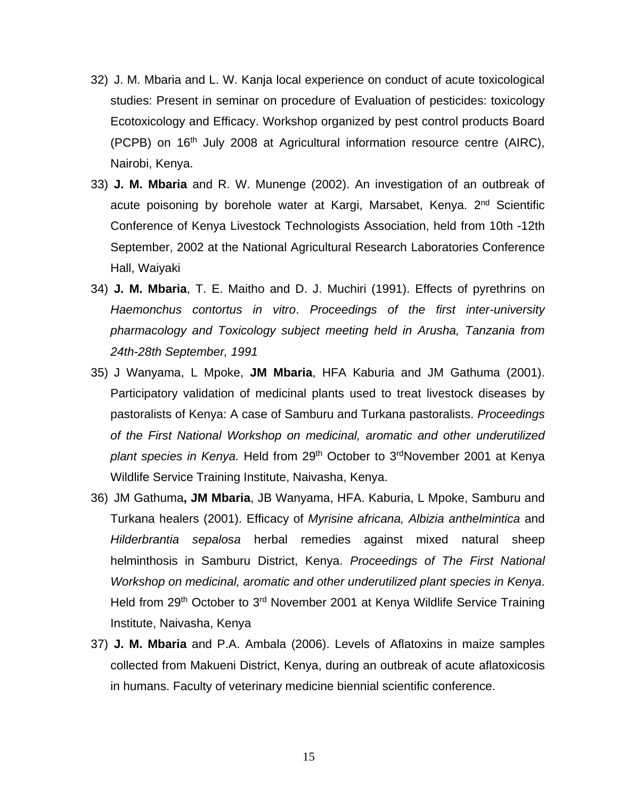- 32) J. M. Mbaria and L. W. Kanja local experience on conduct of acute toxicological studies: Present in seminar on procedure of Evaluation of pesticides: toxicology Ecotoxicology and Efficacy. Workshop organized by pest control products Board (PCPB) on 16<sup>th</sup> July 2008 at Agricultural information resource centre (AIRC), Nairobi, Kenya.
- 33) **J. M. Mbaria** and R. W. Munenge (2002). An investigation of an outbreak of acute poisoning by borehole water at Kargi, Marsabet, Kenya. 2<sup>nd</sup> Scientific Conference of Kenya Livestock Technologists Association, held from 10th -12th September, 2002 at the National Agricultural Research Laboratories Conference Hall, Waiyaki
- 34) **J. M. Mbaria**, T. E. Maitho and D. J. Muchiri (1991). Effects of pyrethrins on *Haemonchus contortus in vitro*. *Proceedings of the first inter-university pharmacology and Toxicology subject meeting held in Arusha, Tanzania from 24th-28th September, 1991*
- 35) J Wanyama, L Mpoke, **JM Mbaria**, HFA Kaburia and JM Gathuma (2001). Participatory validation of medicinal plants used to treat livestock diseases by pastoralists of Kenya: A case of Samburu and Turkana pastoralists. *Proceedings of the First National Workshop on medicinal, aromatic and other underutilized plant species in Kenya.* Held from 29th October to 3rdNovember 2001 at Kenya Wildlife Service Training Institute, Naivasha, Kenya.
- 36) JM Gathuma**, JM Mbaria**, JB Wanyama, HFA. Kaburia, L Mpoke, Samburu and Turkana healers (2001). Efficacy of *Myrisine africana, Albizia anthelmintica* and *Hilderbrantia sepalosa* herbal remedies against mixed natural sheep helminthosis in Samburu District, Kenya. *Proceedings of The First National Workshop on medicinal, aromatic and other underutilized plant species in Kenya*. Held from 29<sup>th</sup> October to 3<sup>rd</sup> November 2001 at Kenya Wildlife Service Training Institute, Naivasha, Kenya
- 37) **J. M. Mbaria** and P.A. Ambala (2006). Levels of Aflatoxins in maize samples collected from Makueni District, Kenya, during an outbreak of acute aflatoxicosis in humans. Faculty of veterinary medicine biennial scientific conference.